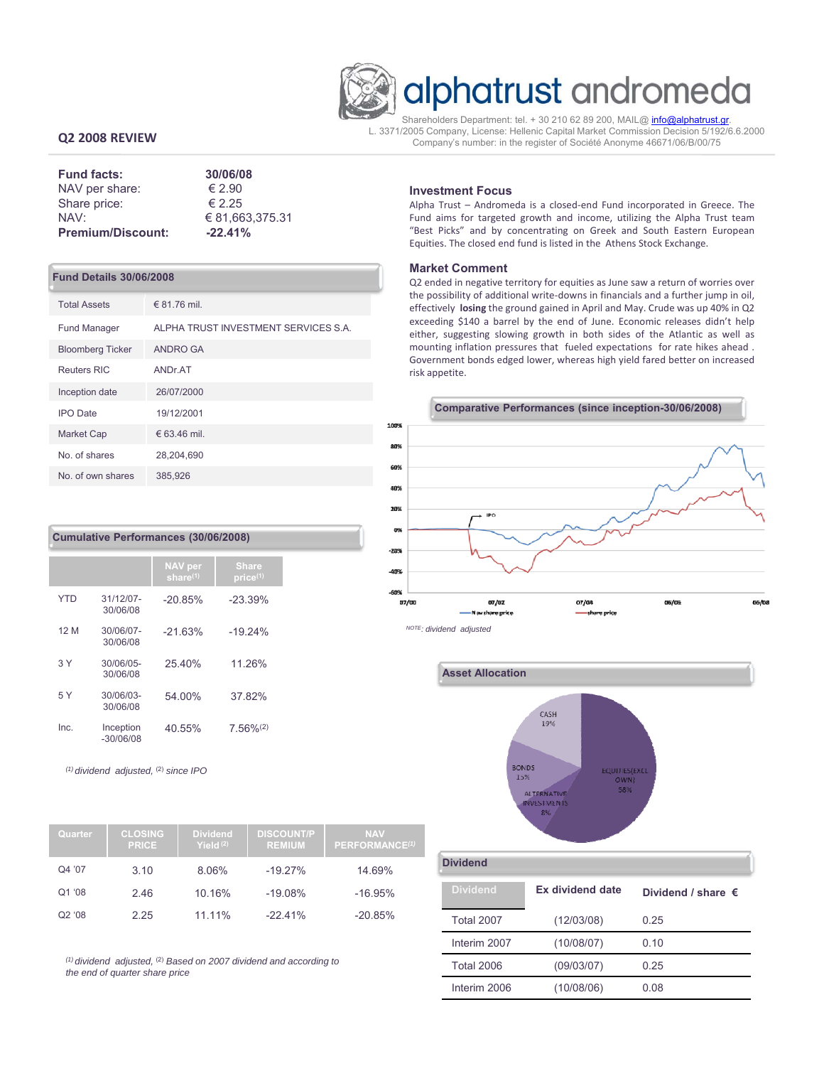

# alphatrust andromeda

Shareholders Department: tel. + 30 210 62 89 200, MAIL@ info@alphatrust.gr. L. 3371/2005 Company, License: Hellenic Capital Market Commission Decision 5/192/6.6.2000 Company's number: in the register of Société Anonyme 46671/06/Β/00/75

# **Q2 2008 REVIEW**

| <b>Fund facts:</b>       | 30/06/08        |
|--------------------------|-----------------|
| NAV per share:           | $\epsilon$ 2.90 |
| Share price:             | $\epsilon$ 2.25 |
| NAV:                     | € 81.663.375.31 |
| <b>Premium/Discount:</b> | $-22.41%$       |

#### **Fund Details 30/06/2008**

| <b>Total Assets</b>     | € 81.76 mil.                         |
|-------------------------|--------------------------------------|
| <b>Fund Manager</b>     | ALPHA TRUST INVESTMENT SERVICES S.A. |
| <b>Bloomberg Ticker</b> | <b>ANDRO GA</b>                      |
| <b>Reuters RIC</b>      | ANDr.AT                              |
| Inception date          | 26/07/2000                           |
| <b>IPO</b> Date         | 19/12/2001                           |
| <b>Market Cap</b>       | € 63.46 mil.                         |
| No. of shares           | 28,204,690                           |
| No. of own shares       | 385,926                              |

# **Cumulative Performances (30/06/2008)**

|            |                          | <b>NAV</b> per<br>share $(1)$ | <b>Share</b><br>price <sub>(1)</sub> |
|------------|--------------------------|-------------------------------|--------------------------------------|
| <b>YTD</b> | 31/12/07-<br>30/06/08    | $-20.85%$                     | $-23.39%$                            |
| 12 M       | 30/06/07-<br>30/06/08    | $-2163%$                      | $-19.24%$                            |
| 3Y         | 30/06/05-<br>30/06/08    | 25.40%                        | 11.26%                               |
| 5Y         | 30/06/03-<br>30/06/08    | 54.00%                        | 37.82%                               |
| Inc.       | Inception<br>$-30/06/08$ | 40.55%                        | $7.56\%^{(2)}$                       |

*(1) dividend adjusted,* (2) *since IPO* 

| Quarter            | <b>CLOSING</b><br><b>PRICE</b> | <b>Dividend</b><br>Yield $(2)$ | <b>DISCOUNT/P</b><br><b>REMIUM</b> | <b>NAV</b><br>PERFORMANCE <sup>(1)</sup> |
|--------------------|--------------------------------|--------------------------------|------------------------------------|------------------------------------------|
| Q4 '07             | 3.10                           | 8.06%                          | $-19.27%$                          | 14.69%                                   |
| Q1 '08             | 2.46                           | 10.16%                         | $-19.08%$                          | $-16.95%$                                |
| Q <sub>2</sub> '08 | 2.25                           | 11.11%                         | $-22.41%$                          | $-20.85%$                                |

*(1) dividend adjusted,* (2) *Based on 2007 dividend and according to the end of quarter share price*

### **Investment Focus**

Alpha Trust – Andromeda is a closed‐end Fund incorporated in Greece. The Fund aims for targeted growth and income, utilizing the Alpha Trust team "Best Picks" and by concentrating on Greek and South Eastern European Equities. The closed end fund is listed in the Athens Stock Exchange.

#### **Market Comment**

Q2 ended in negative territory for equities as June saw a return of worries over the possibility of additional write‐downs in financials and a further jump in oil, effectively **losing** the ground gained in April and May. Crude was up 40% in Q2 exceeding \$140 a barrel by the end of June. Economic releases didn't help either, suggesting slowing growth in both sides of the Atlantic as well as mounting inflation pressures that fueled expectations for rate hikes ahead . Government bonds edged lower, whereas high yield fared better on increased risk appetite.



**Asset Allocation** CASH 19% **BONDS** UITIES(EXCI 15% **OWN ALTERNATIV** NVESTMENTS  $9%$ 

**Dividend**

| <b>Dividend</b>   | Ex dividend date | Dividend / share $\epsilon$ |
|-------------------|------------------|-----------------------------|
| <b>Total 2007</b> | (12/03/08)       | 0.25                        |
| Interim 2007      | (10/08/07)       | 0.10                        |
| <b>Total 2006</b> | (09/03/07)       | 0.25                        |
| Interim 2006      | (10/08/06)       | 0.08                        |